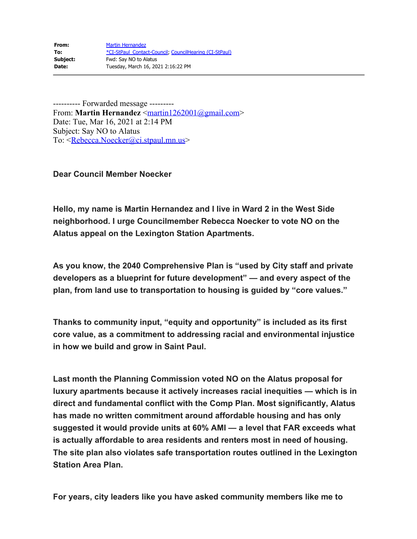| From:    | <b>Martin Hernandez</b>                                |
|----------|--------------------------------------------------------|
| To:      | *CI-StPaul Contact-Council, CouncilHearing (CI-StPaul) |
| Subject: | Fwd: Say NO to Alatus                                  |
| Date:    | Tuesday, March 16, 2021 2:16:22 PM                     |

---------- Forwarded message --------- From: **Martin Hernandez** [<martin1262001@gmail.com](mailto:martin1262001@gmail.com)> Date: Tue, Mar 16, 2021 at 2:14 PM Subject: Say NO to Alatus To: [<Rebecca.Noecker@ci.stpaul.mn.us](mailto:Rebecca.Noecker@ci.stpaul.mn.us)>

**Dear Council Member Noecker**

**Hello, my name is Martin Hernandez and I live in Ward 2 in the West Side neighborhood. I urge Councilmember Rebecca Noecker to vote NO on the Alatus appeal on the Lexington Station Apartments.**

**As you know, the 2040 Comprehensive Plan is "used by City staff and private developers as a blueprint for future development" — and every aspect of the plan, from land use to transportation to housing is guided by "core values."**

**Thanks to community input, "equity and opportunity" is included as its first core value, as a commitment to addressing racial and environmental injustice in how we build and grow in Saint Paul.**

**Last month the Planning Commission voted NO on the Alatus proposal for luxury apartments because it actively increases racial inequities — which is in direct and fundamental conflict with the Comp Plan. Most significantly, Alatus has made no written commitment around affordable housing and has only suggested it would provide units at 60% AMI — a level that FAR exceeds what is actually affordable to area residents and renters most in need of housing. The site plan also violates safe transportation routes outlined in the Lexington Station Area Plan.**

**For years, city leaders like you have asked community members like me to**